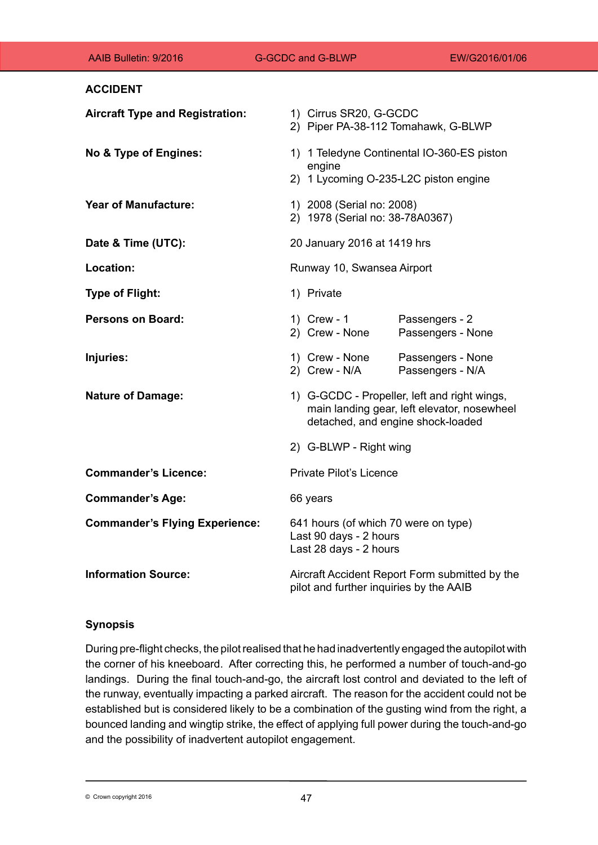| AAIB Bulletin: 9/2016                  | <b>G-GCDC and G-BLWP</b>                                     | EW/G2016/01/06                                                                                                                   |  |
|----------------------------------------|--------------------------------------------------------------|----------------------------------------------------------------------------------------------------------------------------------|--|
| <b>ACCIDENT</b>                        |                                                              |                                                                                                                                  |  |
| <b>Aircraft Type and Registration:</b> | 1) Cirrus SR20, G-GCDC                                       | 2) Piper PA-38-112 Tomahawk, G-BLWP                                                                                              |  |
| No & Type of Engines:                  | engine                                                       | 1) 1 Teledyne Continental IO-360-ES piston<br>2) 1 Lycoming O-235-L2C piston engine                                              |  |
| <b>Year of Manufacture:</b>            | 1) 2008 (Serial no: 2008)<br>2) 1978 (Serial no: 38-78A0367) |                                                                                                                                  |  |
| Date & Time (UTC):                     | 20 January 2016 at 1419 hrs                                  |                                                                                                                                  |  |
| Location:                              | Runway 10, Swansea Airport                                   |                                                                                                                                  |  |
| <b>Type of Flight:</b>                 | 1) Private                                                   |                                                                                                                                  |  |
| <b>Persons on Board:</b>               | 1) Crew - 1<br>2) Crew - None                                | Passengers - 2<br>Passengers - None                                                                                              |  |
| Injuries:                              | 1) Crew - None<br>2) Crew - N/A                              | Passengers - None<br>Passengers - N/A                                                                                            |  |
| <b>Nature of Damage:</b>               |                                                              | 1) G-GCDC - Propeller, left and right wings,<br>main landing gear, left elevator, nosewheel<br>detached, and engine shock-loaded |  |
|                                        | 2) G-BLWP - Right wing                                       |                                                                                                                                  |  |
| <b>Commander's Licence:</b>            | <b>Private Pilot's Licence</b>                               |                                                                                                                                  |  |
| <b>Commander's Age:</b>                | 66 years                                                     |                                                                                                                                  |  |
| <b>Commander's Flying Experience:</b>  | Last 90 days - 2 hours<br>Last 28 days - 2 hours             | 641 hours (of which 70 were on type)                                                                                             |  |
| <b>Information Source:</b>             |                                                              | Aircraft Accident Report Form submitted by the<br>pilot and further inquiries by the AAIB                                        |  |

# **Synopsis**

During pre-flight checks, the pilot realised that he had inadvertently engaged the autopilot with the corner of his kneeboard. After correcting this, he performed a number of touch-and-go landings. During the final touch-and-go, the aircraft lost control and deviated to the left of the runway, eventually impacting a parked aircraft. The reason for the accident could not be established but is considered likely to be a combination of the gusting wind from the right, a bounced landing and wingtip strike, the effect of applying full power during the touch-and-go and the possibility of inadvertent autopilot engagement.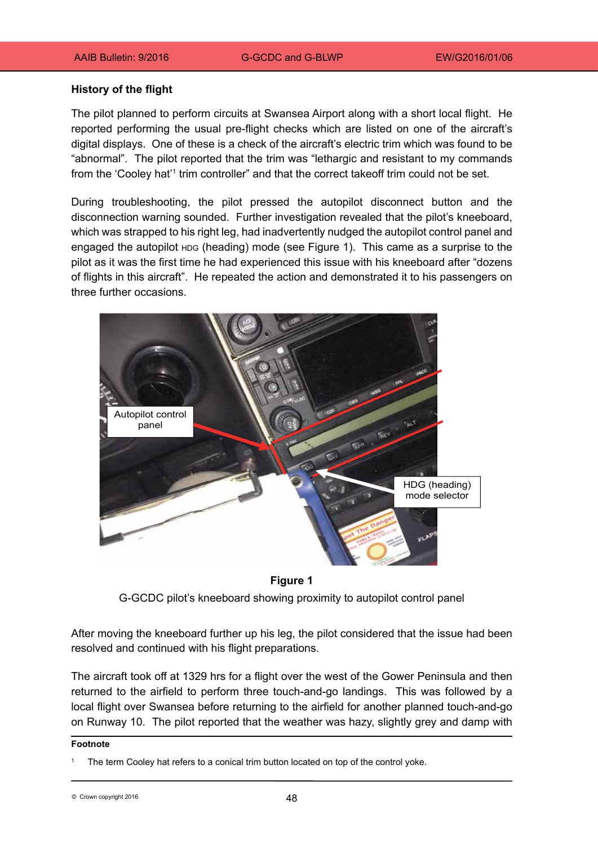#### **History of the flight**

The pilot planned to perform circuits at Swansea Airport along with a short local flight. He reported performing the usual pre-flight checks which are listed on one of the aircraft's digital displays. One of these is a check of the aircraft's electric trim which was found to be "abnormal". The pilot reported that the trim was "lethargic and resistant to my commands from the 'Cooley hat'1 trim controller" and that the correct takeoff trim could not be set.

During troubleshooting, the pilot pressed the autopilot disconnect button and the disconnection warning sounded. Further investigation revealed that the pilot's kneeboard, which was strapped to his right leg, had inadvertently nudged the autopilot control panel and engaged the autopilot HDG (heading) mode (see Figure 1). This came as a surprise to the pilot as it was the first time he had experienced this issue with his kneeboard after "dozens of flights in this aircraft". He repeated the action and demonstrated it to his passengers on three further occasions.



**Figure 1**

G-GCDC pilot's kneeboard showing proximity to autopilot control panel

After moving the kneeboard further up his leg, the pilot considered that the issue had been resolved and continued with his flight preparations.

The aircraft took off at 1329 hrs for a flight over the west of the Gower Peninsula and then returned to the airfield to perform three touch-and-go landings. This was followed by a local flight over Swansea before returning to the airfield for another planned touch-and-go on Runway 10. The pilot reported that the weather was hazy, slightly grey and damp with

#### **Footnote**

The term Cooley hat refers to a conical trim button located on top of the control yoke.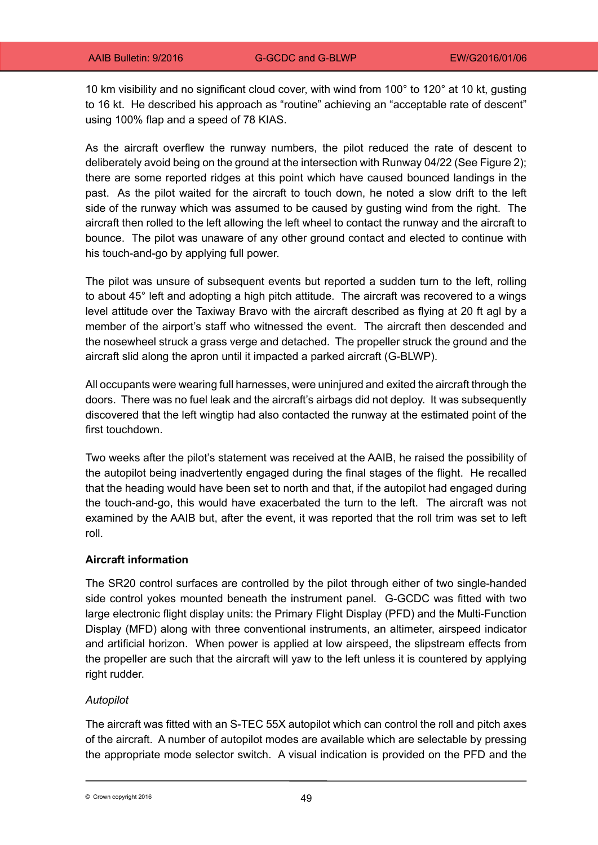10 km visibility and no significant cloud cover, with wind from 100° to 120° at 10 kt, gusting to 16 kt. He described his approach as "routine" achieving an "acceptable rate of descent" using 100% flap and a speed of 78 KIAS.

As the aircraft overflew the runway numbers, the pilot reduced the rate of descent to deliberately avoid being on the ground at the intersection with Runway 04/22 (See Figure 2); there are some reported ridges at this point which have caused bounced landings in the past. As the pilot waited for the aircraft to touch down, he noted a slow drift to the left side of the runway which was assumed to be caused by gusting wind from the right. The aircraft then rolled to the left allowing the left wheel to contact the runway and the aircraft to bounce. The pilot was unaware of any other ground contact and elected to continue with his touch-and-go by applying full power.

The pilot was unsure of subsequent events but reported a sudden turn to the left, rolling to about 45° left and adopting a high pitch attitude. The aircraft was recovered to a wings level attitude over the Taxiway Bravo with the aircraft described as flying at 20 ft agl by a member of the airport's staff who witnessed the event. The aircraft then descended and the nosewheel struck a grass verge and detached. The propeller struck the ground and the aircraft slid along the apron until it impacted a parked aircraft (G-BLWP).

All occupants were wearing full harnesses, were uninjured and exited the aircraft through the doors. There was no fuel leak and the aircraft's airbags did not deploy. It was subsequently discovered that the left wingtip had also contacted the runway at the estimated point of the first touchdown.

Two weeks after the pilot's statement was received at the AAIB, he raised the possibility of the autopilot being inadvertently engaged during the final stages of the flight. He recalled that the heading would have been set to north and that, if the autopilot had engaged during the touch-and-go, this would have exacerbated the turn to the left. The aircraft was not examined by the AAIB but, after the event, it was reported that the roll trim was set to left roll.

## **Aircraft information**

The SR20 control surfaces are controlled by the pilot through either of two single-handed side control yokes mounted beneath the instrument panel. G-GCDC was fitted with two large electronic flight display units: the Primary Flight Display (PFD) and the Multi-Function Display (MFD) along with three conventional instruments, an altimeter, airspeed indicator and artificial horizon. When power is applied at low airspeed, the slipstream effects from the propeller are such that the aircraft will yaw to the left unless it is countered by applying right rudder.

## *Autopilot*

The aircraft was fitted with an S-TEC 55X autopilot which can control the roll and pitch axes of the aircraft. A number of autopilot modes are available which are selectable by pressing the appropriate mode selector switch. A visual indication is provided on the PFD and the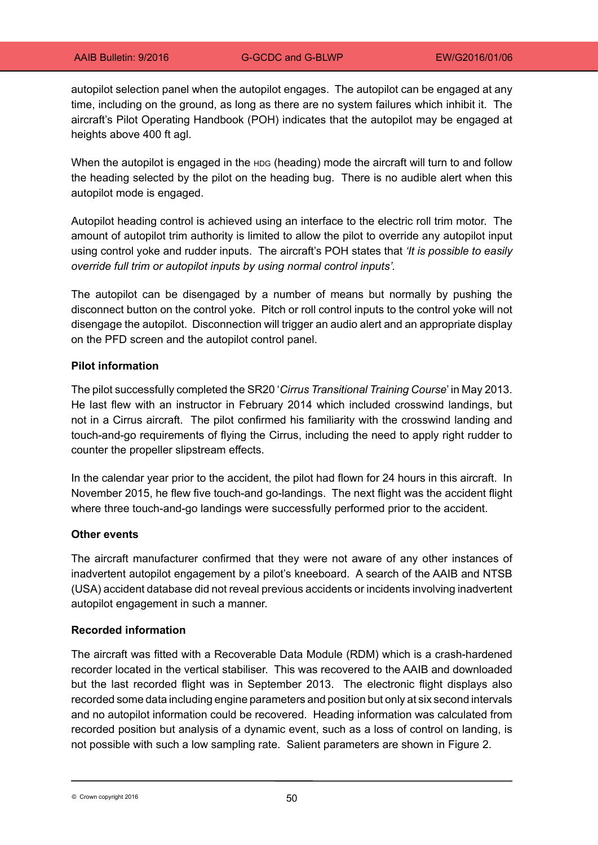autopilot selection panel when the autopilot engages. The autopilot can be engaged at any time, including on the ground, as long as there are no system failures which inhibit it. The aircraft's Pilot Operating Handbook (POH) indicates that the autopilot may be engaged at heights above 400 ft agl.

When the autopilot is engaged in the HDG (heading) mode the aircraft will turn to and follow the heading selected by the pilot on the heading bug. There is no audible alert when this autopilot mode is engaged.

Autopilot heading control is achieved using an interface to the electric roll trim motor. The amount of autopilot trim authority is limited to allow the pilot to override any autopilot input using control yoke and rudder inputs. The aircraft's POH states that *'It is possible to easily override full trim or autopilot inputs by using normal control inputs'.*

The autopilot can be disengaged by a number of means but normally by pushing the disconnect button on the control yoke. Pitch or roll control inputs to the control yoke will not disengage the autopilot. Disconnection will trigger an audio alert and an appropriate display on the PFD screen and the autopilot control panel.

#### **Pilot information**

The pilot successfully completed the SR20 '*Cirrus Transitional Training Course*' in May 2013. He last flew with an instructor in February 2014 which included crosswind landings, but not in a Cirrus aircraft. The pilot confirmed his familiarity with the crosswind landing and touch‑and-go requirements of flying the Cirrus, including the need to apply right rudder to counter the propeller slipstream effects.

In the calendar year prior to the accident, the pilot had flown for 24 hours in this aircraft. In November 2015, he flew five touch-and go-landings. The next flight was the accident flight where three touch-and-go landings were successfully performed prior to the accident.

## **Other events**

The aircraft manufacturer confirmed that they were not aware of any other instances of inadvertent autopilot engagement by a pilot's kneeboard. A search of the AAIB and NTSB (USA) accident database did not reveal previous accidents or incidents involving inadvertent autopilot engagement in such a manner.

#### **Recorded information**

The aircraft was fitted with a Recoverable Data Module (RDM) which is a crash-hardened recorder located in the vertical stabiliser. This was recovered to the AAIB and downloaded but the last recorded flight was in September 2013. The electronic flight displays also recorded some data including engine parameters and position but only at six second intervals and no autopilot information could be recovered. Heading information was calculated from recorded position but analysis of a dynamic event, such as a loss of control on landing, is not possible with such a low sampling rate. Salient parameters are shown in Figure 2.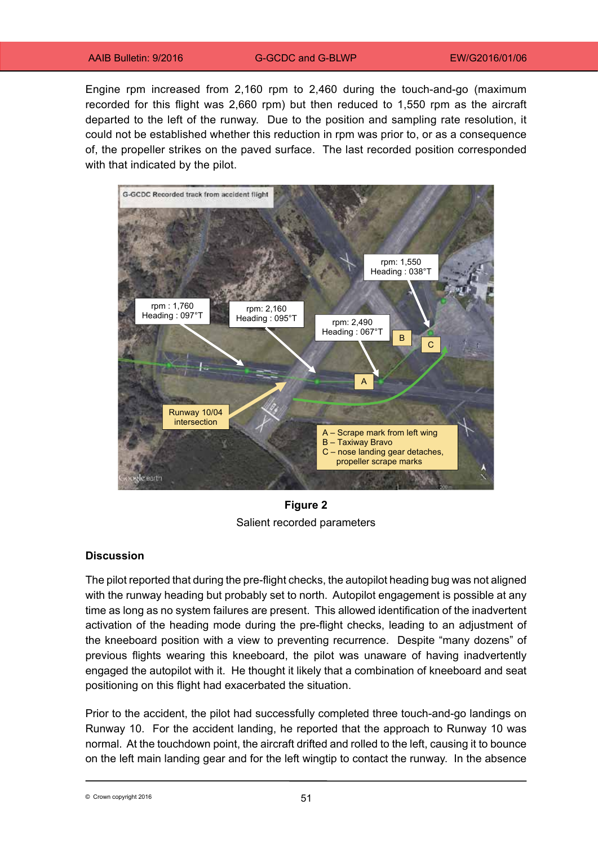Engine rpm increased from 2,160 rpm to 2,460 during the touch-and-go (maximum recorded for this flight was 2,660 rpm) but then reduced to 1,550 rpm as the aircraft departed to the left of the runway. Due to the position and sampling rate resolution, it could not be established whether this reduction in rpm was prior to, or as a consequence of, the propeller strikes on the paved surface. The last recorded position corresponded with that indicated by the pilot.



**Figure 2** Salient recorded parameters

## **Discussion**

The pilot reported that during the pre-flight checks, the autopilot heading bug was not aligned with the runway heading but probably set to north. Autopilot engagement is possible at any time as long as no system failures are present. This allowed identification of the inadvertent activation of the heading mode during the pre-flight checks, leading to an adjustment of the kneeboard position with a view to preventing recurrence. Despite "many dozens" of previous flights wearing this kneeboard, the pilot was unaware of having inadvertently engaged the autopilot with it. He thought it likely that a combination of kneeboard and seat positioning on this flight had exacerbated the situation.

Prior to the accident, the pilot had successfully completed three touch-and-go landings on Runway 10. For the accident landing, he reported that the approach to Runway 10 was normal. At the touchdown point, the aircraft drifted and rolled to the left, causing it to bounce on the left main landing gear and for the left wingtip to contact the runway. In the absence

© Crown copyright 2016 **by EXAMPLE 2016**